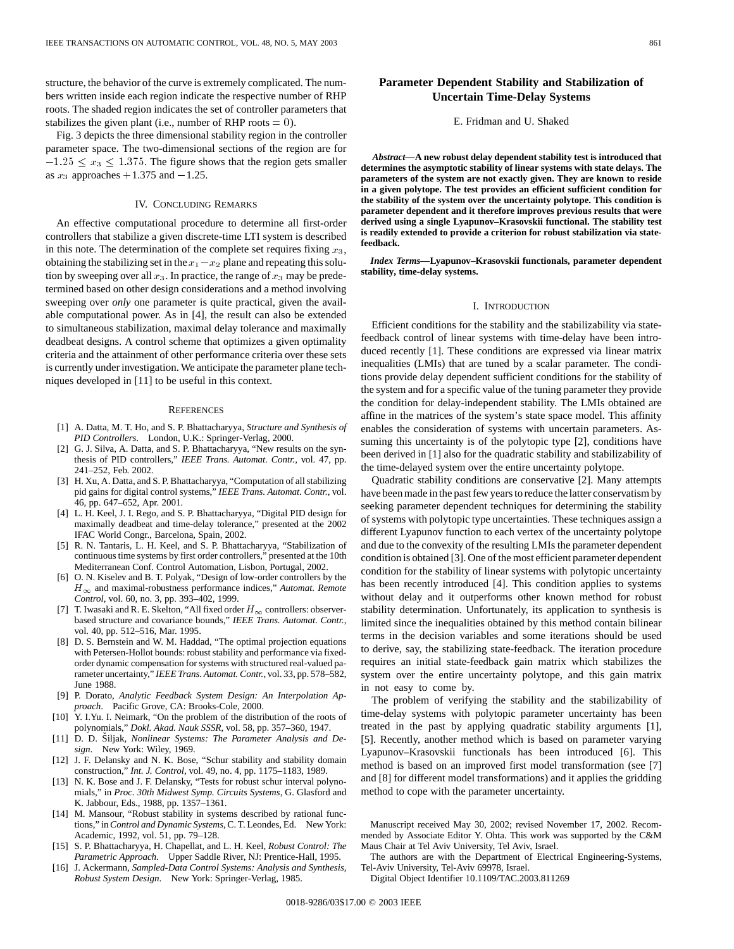structure, the behavior of the curve is extremely complicated. The numbers written inside each region indicate the respective number of RHP roots. The shaded region indicates the set of controller parameters that stabilizes the given plant (i.e., number of RHP roots  $= 0$ ).

Fig. 3 depicts the three dimensional stability region in the controller parameter space. The two-dimensional sections of the region are for  $-1.25 \le x_3 \le 1.375$ . The figure shows that the region gets smaller as  $x_3$  approaches  $+1.375$  and  $-1.25$ .

### IV. CONCLUDING REMARKS

An effective computational procedure to determine all first-order controllers that stabilize a given discrete-time LTI system is described in this note. The determination of the complete set requires fixing  $x_3$ , obtaining the stabilizing set in the  $x_1-x_2$  plane and repeating this solution by sweeping over all  $x_3$ . In practice, the range of  $x_3$  may be predetermined based on other design considerations and a method involving sweeping over *only* one parameter is quite practical, given the available computational power. As in [4], the result can also be extended to simultaneous stabilization, maximal delay tolerance and maximally deadbeat designs. A control scheme that optimizes a given optimality criteria and the attainment of other performance criteria over these sets is currently under investigation. We anticipate the parameter plane techniques developed in [11] to be useful in this context.

#### **REFERENCES**

- [1] A. Datta, M. T. Ho, and S. P. Bhattacharyya, *Structure and Synthesis of PID Controllers*. London, U.K.: Springer-Verlag, 2000.
- [2] G. J. Silva, A. Datta, and S. P. Bhattacharyya, "New results on the synthesis of PID controllers," *IEEE Trans. Automat. Contr.*, vol. 47, pp. 241–252, Feb. 2002.
- [3] H. Xu, A. Datta, and S. P. Bhattacharyya, "Computation of all stabilizing pid gains for digital control systems," *IEEE Trans. Automat. Contr.*, vol. 46, pp. 647–652, Apr. 2001.
- [4] L. H. Keel, J. I. Rego, and S. P. Bhattacharyya, "Digital PID design for maximally deadbeat and time-delay tolerance," presented at the 2002 IFAC World Congr., Barcelona, Spain, 2002.
- [5] R. N. Tantaris, L. H. Keel, and S. P. Bhattacharyya, "Stabilization of continuous time systems by first order controllers," presented at the 10th Mediterranean Conf. Control Automation, Lisbon, Portugal, 2002.
- [6] O. N. Kiselev and B. T. Polyak, "Design of low-order controllers by the  $H_{\infty}$  and maximal-robustness performance indices," *Automat. Remote Control*, vol. 60, no. 3, pp. 393–402, 1999.
- [7] T. Iwasaki and R. E. Skelton, "All fixed order  $H_{\infty}$  controllers: observerbased structure and covariance bounds," *IEEE Trans. Automat. Contr.*, vol. 40, pp. 512–516, Mar. 1995.
- [8] D. S. Bernstein and W. M. Haddad, "The optimal projection equations with Petersen-Hollot bounds: robust stability and performance via fixedorder dynamic compensation for systems with structured real-valued parameter uncertainty," *IEEE Trans. Automat. Contr.*, vol. 33, pp. 578–582, June 1988.
- [9] P. Dorato, *Analytic Feedback System Design: An Interpolation Approach*. Pacific Grove, CA: Brooks-Cole, 2000.
- [10] Y. I.Yu. I. Neimark, "On the problem of the distribution of the roots of polynomials," *Dokl. Akad. Nauk SSSR*, vol. 58, pp. 357–360, 1947.
- [11] D. D. Siljak, *Nonlinear Systems: The Parameter Analysis and Design*. New York: Wiley, 1969.
- [12] J. F. Delansky and N. K. Bose, "Schur stability and stability domain construction," *Int. J. Control*, vol. 49, no. 4, pp. 1175–1183, 1989.
- [13] N. K. Bose and J. F. Delansky, "Tests for robust schur interval polynomials," in *Proc. 30th Midwest Symp. Circuits Systems*, G. Glasford and K. Jabbour, Eds., 1988, pp. 1357–1361.
- [14] M. Mansour, "Robust stability in systems described by rational functions," in *Control and Dynamic Systems*, C. T. Leondes, Ed. New York: Academic, 1992, vol. 51, pp. 79–128.
- [15] S. P. Bhattacharyya, H. Chapellat, and L. H. Keel, *Robust Control: The Parametric Approach*. Upper Saddle River, NJ: Prentice-Hall, 1995.
- [16] J. Ackermann, *Sampled-Data Control Systems: Analysis and Synthesis, Robust System Design*. New York: Springer-Verlag, 1985.

## **Parameter Dependent Stability and Stabilization of Uncertain Time-Delay Systems**

#### E. Fridman and U. Shaked

*Abstract—***A new robust delay dependent stability test is introduced that determines the asymptotic stability of linear systems with state delays. The parameters of the system are not exactly given. They are known to reside in a given polytope. The test provides an efficient sufficient condition for the stability of the system over the uncertainty polytope. This condition is parameter dependent and it therefore improves previous results that were derived using a single Lyapunov–Krasovskii functional. The stability test is readily extended to provide a criterion for robust stabilization via statefeedback.**

*Index Terms—***Lyapunov–Krasovskii functionals, parameter dependent stability, time-delay systems.**

#### I. INTRODUCTION

Efficient conditions for the stability and the stabilizability via statefeedback control of linear systems with time-delay have been introduced recently [1]. These conditions are expressed via linear matrix inequalities (LMIs) that are tuned by a scalar parameter. The conditions provide delay dependent sufficient conditions for the stability of the system and for a specific value of the tuning parameter they provide the condition for delay-independent stability. The LMIs obtained are affine in the matrices of the system's state space model. This affinity enables the consideration of systems with uncertain parameters. Assuming this uncertainty is of the polytopic type [2], conditions have been derived in [1] also for the quadratic stability and stabilizability of the time-delayed system over the entire uncertainty polytope.

Quadratic stability conditions are conservative [2]. Many attempts have been made in the past few years to reduce the latter conservatism by seeking parameter dependent techniques for determining the stability of systems with polytopic type uncertainties. These techniques assign a different Lyapunov function to each vertex of the uncertainty polytope and due to the convexity of the resulting LMIs the parameter dependent condition is obtained [3]. One of the most efficient parameter dependent condition for the stability of linear systems with polytopic uncertainty has been recently introduced [4]. This condition applies to systems without delay and it outperforms other known method for robust stability determination. Unfortunately, its application to synthesis is limited since the inequalities obtained by this method contain bilinear terms in the decision variables and some iterations should be used to derive, say, the stabilizing state-feedback. The iteration procedure requires an initial state-feedback gain matrix which stabilizes the system over the entire uncertainty polytope, and this gain matrix in not easy to come by.

The problem of verifying the stability and the stabilizability of time-delay systems with polytopic parameter uncertainty has been treated in the past by applying quadratic stability arguments [1], [5]. Recently, another method which is based on parameter varying Lyapunov–Krasovskii functionals has been introduced [6]. This method is based on an improved first model transformation (see [7] and [8] for different model transformations) and it applies the gridding method to cope with the parameter uncertainty.

Manuscript received May 30, 2002; revised November 17, 2002. Recommended by Associate Editor Y. Ohta. This work was supported by the C&M Maus Chair at Tel Aviv University, Tel Aviv, Israel.

The authors are with the Department of Electrical Engineering-Systems, Tel-Aviv University, Tel-Aviv 69978, Israel.

Digital Object Identifier 10.1109/TAC.2003.811269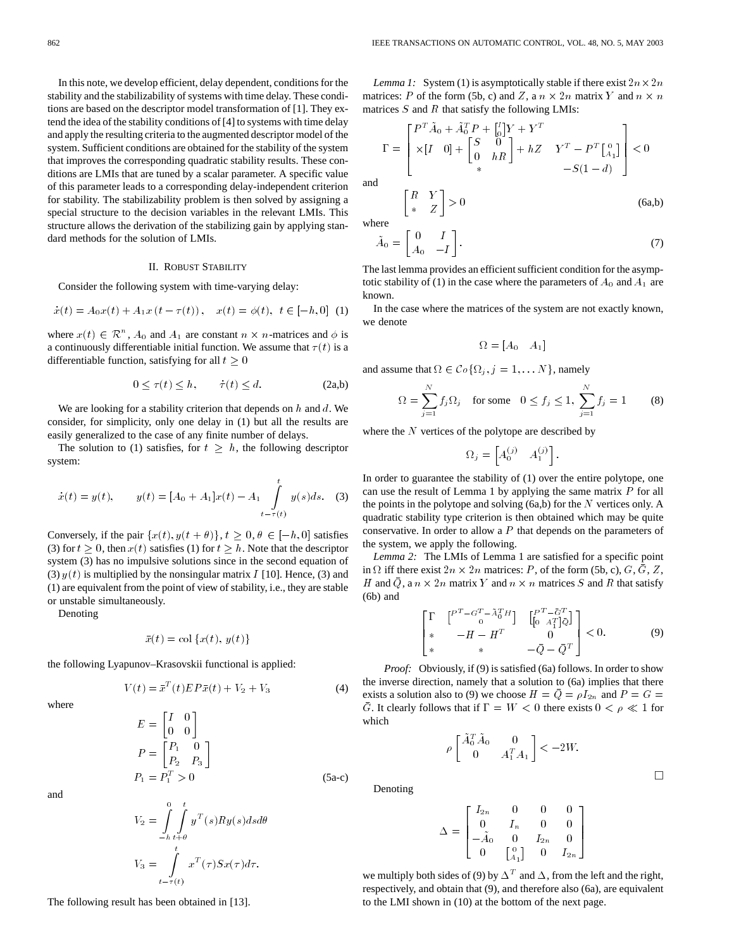In this note, we develop efficient, delay dependent, conditions for the stability and the stabilizability of systems with time delay. These conditions are based on the descriptor model transformation of [1]. They extend the idea of the stability conditions of [4] to systems with time delay and apply the resulting criteria to the augmented descriptor model of the system. Sufficient conditions are obtained for the stability of the system that improves the corresponding quadratic stability results. These conditions are LMIs that are tuned by a scalar parameter. A specific value of this parameter leads to a corresponding delay-independent criterion for stability. The stabilizability problem is then solved by assigning a special structure to the decision variables in the relevant LMIs. This structure allows the derivation of the stabilizing gain by applying standard methods for the solution of LMIs.

## II. ROBUST STABILITY

Consider the following system with time-varying delay:

II. RobUST STABILITY  
Consider the following system with time-varying delay:  

$$
\dot{x}(t) = A_0 x(t) + A_1 x(t - \tau(t)), \quad x(t) = \phi(t), \ t \in [-h, 0] \tag{1}
$$

where  $x(t) \in \mathbb{R}^n$ ,  $A_0$  and  $A_1$  are constant  $n \times n$ -matrices and  $\phi$  is a continuously differentiable initial function. We assume that  $\tau(t)$  is a differentiable function, satisfying for all  $t > 0$ 

$$
0 \le \tau(t) \le h, \qquad \tau(t) \le d. \tag{2a,b}
$$

We are looking for a stability criterion that depends on  $h$  and  $d$ . We consider, for simplicity, only one delay in (1) but all the results are easily generalized to the case of any finite number of delays.

The solution to (1) satisfies, for  $t \geq h$ , the following descriptor system:

$$
\dot{x}(t) = y(t), \qquad y(t) = [A_0 + A_1]x(t) - A_1 \int_{t-\tau(t)}^t y(s)ds. \quad (3)
$$

Conversely, if the pair  $\{x(t), y(t + \theta)\}\$ ,  $t \geq 0, \theta \in [-h, 0]$  satisfies (3) for  $t \geq 0$ , then  $x(t)$  satisfies (1) for  $t \geq h$ . Note that the descriptor system (3) has no impulsive solutions since in the second equation of (3)  $y(t)$  is multiplied by the nonsingular matrix I [10]. Hence, (3) and (1) are equivalent from the point of view of stability, i.e., they are stable or unstable simultaneously.

Denoting

$$
\bar{x}(t) = \text{col}\left\{x(t), y(t)\right\}
$$

the following Lyapunov–Krasovskii functional is applied:

$$
V(t) = \bar{x}^{T}(t)E P \bar{x}(t) + V_2 + V_3
$$
 (4)

where

$$
E = \begin{bmatrix} I & 0 \\ 0 & 0 \end{bmatrix}
$$
  
\n
$$
P = \begin{bmatrix} P_1 & 0 \\ P_2 & P_3 \end{bmatrix}
$$
  
\n
$$
P_1 = P_1^T > 0
$$
 (5a-c)

and

$$
V_2 = \int_{-h}^{0} \int_{t+\theta}^{t} y^T(s)Ry(s)dsd\theta
$$
  

$$
V_3 = \int_{t-\tau(t)}^{t} x^T(\tau)Sx(\tau)d\tau.
$$

*Lemma 1:* System (1) is asymptotically stable if there exist  $2n \times 2n$ matrices: P of the form (5b, c) and Z, a  $n \times 2n$  matrix Y and  $n \times n$ matrices  $S$  and  $R$  that satisfy the following LMIs:

$$
\Gamma = \begin{bmatrix} P^T \tilde{A}_0 + \tilde{A}_0^T P + \begin{bmatrix} I \\ 0 \end{bmatrix} Y + Y^T \\ \times [I \quad 0] + \begin{bmatrix} S & 0 \\ 0 & hR \end{bmatrix} + hZ & Y^T - P^T \begin{bmatrix} 0 \\ A_1 \end{bmatrix} \\ \times & -S(1-d) \end{bmatrix} < 0
$$
and

$$
\begin{bmatrix} R & I \\ * & Z \end{bmatrix} > 0 \tag{6a,b}
$$

where

$$
\tilde{A}_0 = \begin{bmatrix} 0 & I \\ A_0 & -I \end{bmatrix}.
$$
\n(7)

The last lemma provides an efficient sufficient condition for the asymptotic stability of (1) in the case where the parameters of  $A_0$  and  $A_1$  are known.

In the case where the matrices of the system are not exactly known, we denote

$$
\Omega = [A_0 \quad A_1]
$$

and assume that  $\Omega \in \mathcal{C} \circ \{ \Omega_j, j = 1, \dots N \}$ , namely

$$
\Omega = \sum_{j=1}^{N} f_j \Omega_j \quad \text{for some} \quad 0 \le f_j \le 1, \ \sum_{j=1}^{N} f_j = 1 \tag{8}
$$

where the  $N$  vertices of the polytope are described by

$$
\Omega_j = \begin{bmatrix} A_0^{(j)} & A_1^{(j)} \end{bmatrix}.
$$

In order to guarantee the stability of (1) over the entire polytope, one can use the result of Lemma 1 by applying the same matrix  $P$  for all the points in the polytope and solving  $(6a,b)$  for the N vertices only. A quadratic stability type criterion is then obtained which may be quite conservative. In order to allow a  $P$  that depends on the parameters of the system, we apply the following.

*Lemma 2:* The LMIs of Lemma 1 are satisfied for a specific point in  $\Omega$  iff there exist  $2n \times 2n$  matrices: P, of the form (5b, c), G,  $\overline{G}$ , Z, *H* and  $\bar{Q}$ , a  $n \times 2n$  matrix *Y* and  $n \times n$  matrices *S* and *R* that satisfy<br>
(6b) and<br>  $\left[\Gamma \begin{array}{c} P^T - G^T - \lambda_0^T H \end{array} \right] \left[\begin{array}{c} P^T - \bar{G}^T \end{array} \right]$ (6b) and

$$
\begin{bmatrix}\n\Gamma & \begin{bmatrix}\nP^T - G^T - \tilde{A}_0^T H\end{bmatrix} & \begin{bmatrix}\nP^T - \tilde{G}^T \\
0 & A_1^T \end{bmatrix} \tilde{Q} \\
* & -H - H^T & 0 \\
* & -\bar{Q} - \bar{Q}^T\n\end{bmatrix} < 0. \tag{9}
$$

 $\Box$ 

*Proof:* Obviously, if (9) is satisfied (6a) follows. In order to show the inverse direction, namely that a solution to (6a) implies that there exists a solution also to (9) we choose  $H = \overline{Q} = \rho I_{2n}$  and  $P = G =$  $\overline{G}$ . It clearly follows that if  $\Gamma = W < 0$  there exists  $0 < \rho \ll 1$  for which

> $\rho\begin{bmatrix}\tilde{A}_0^T\tilde{A}_0 & 0\ 0 & 0 & 0\end{bmatrix}$  $\begin{bmatrix} 0 & 0 \\ 0 & A_1^T A_1 \end{bmatrix}$  < -2W.

Denoting

$$
\Delta = \begin{bmatrix} I_{2n} & 0 & 0 & 0 \\ 0 & I_n & 0 & 0 \\ -\tilde{A}_0 & 0 & I_{2n} & 0 \\ 0 & \begin{bmatrix} 0 & 0 & 0 \\ 0 & 0 & 0 \end{bmatrix} & 0 \end{bmatrix}
$$

we multiply both sides of (9) by  $\Delta^T$  and  $\Delta$ , from the left and the right, respectively, and obtain that (9), and therefore also (6a), are equivalent to the LMI shown in (10) at the bottom of the next page.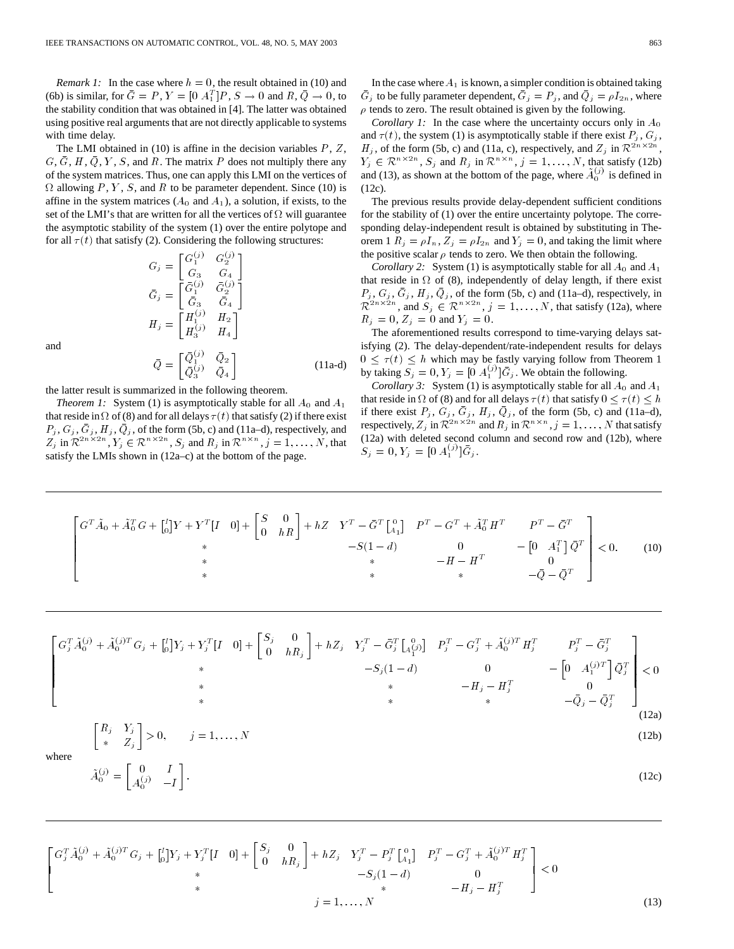*Remark 1:* In the case where  $h = 0$ , the result obtained in (10) and (6b) is similar, for  $\bar{G} = P$ ,  $Y = [0 \, A_1^T]P$ ,  $S \to 0$  and  $R$ ,  $\bar{Q} \to 0$ , to the stability condition that was obtained in [4]. The latter was obtained using positive real arguments that are not directly applicable to systems with time delay.

The LMI obtained in  $(10)$  is affine in the decision variables  $P, Z$ ,  $G, \overline{G}, H, \overline{Q}, Y, S$ , and R. The matrix P does not multiply there any of the system matrices. Thus, one can apply this LMI on the vertices of  $\Omega$  allowing P, Y, S, and R to be parameter dependent. Since (10) is affine in the system matrices  $(A_0$  and  $A_1$ ), a solution, if exists, to the set of the LMI's that are written for all the vertices of  $\Omega$  will guarantee the asymptotic stability of the system (1) over the entire polytope and for all  $\tau(t)$  that satisfy (2). Considering the following structures:

$$
G_j = \begin{bmatrix} G_1^{(j)} & G_2^{(j)} \\ G_3 & G_4 \end{bmatrix}
$$
  
\n
$$
\bar{G}_j = \begin{bmatrix} \bar{G}_1^{(j)} & \bar{G}_2^{(j)} \\ \bar{G}_3 & \bar{G}_4 \end{bmatrix}
$$
  
\n
$$
H_j = \begin{bmatrix} H_1^{(j)} & H_2 \\ H_3^{(j)} & H_4 \end{bmatrix}
$$
  
\n
$$
\bar{Q} = \begin{bmatrix} \bar{Q}_1^{(j)} & \bar{Q}_2 \\ \bar{Q}_3^{(j)} & \bar{Q}_4 \end{bmatrix}
$$

and

the latter result is summarized in the following theorem.

*Theorem 1:* System (1) is asymptotically stable for all  $A_0$  and  $A_1$ that reside in  $\Omega$  of (8) and for all delays  $\tau(t)$  that satisfy (2) if there exist  $P_j$ ,  $G_j$ ,  $\bar{G}_j$ ,  $H_j$ ,  $\bar{Q}_j$ , of the form (5b, c) and (11a–d), respectively, and  $Z_j$  in  $\mathcal{R}^{2n \times 2n}$ ,  $Y_j \in \mathcal{R}^{n \times 2n}$ ,  $S_j$  and  $R_j$  in  $\mathcal{R}^{n \times n}$ ,  $j = 1, ..., N$ , that satisfy the LMIs shown in (12a–c) at the bottom of the page.

In the case where  $A_1$  is known, a simpler condition is obtained taking  $\bar{G}_j$  to be fully parameter dependent,  $\bar{G}_j = P_j$ , and  $\bar{Q}_j = \rho I_{2n}$ , where  $\rho$  tends to zero. The result obtained is given by the following.

*Corollary 1:* In the case where the uncertainty occurs only in  $A_0$ and  $\tau(t)$ , the system (1) is asymptotically stable if there exist  $P_i$ ,  $G_i$ ,  $H_j$ , of the form (5b, c) and (11a, c), respectively, and  $Z_j$  in  $\mathcal{R}^{2n\times 2n}$ ,  $Y_j \in \mathbb{R}^{n \times 2n}$ ,  $S_j$  and  $R_j$  in  $\mathbb{R}^{n \times n}$ ,  $j = 1, ..., N$ , that satisfy (12b) and (13), as shown at the bottom of the page, where  $\tilde{A}_0^{(j)}$  is defined in (12c).

The previous results provide delay-dependent sufficient conditions for the stability of (1) over the entire uncertainty polytope. The corresponding delay-independent result is obtained by substituting in Theorem 1  $R_j = \rho I_n$ ,  $Z_j = \rho I_{2n}$  and  $Y_j = 0$ , and taking the limit where the positive scalar  $\rho$  tends to zero. We then obtain the following.

*Corollary 2:* System (1) is asymptotically stable for all  $A_0$  and  $A_1$ that reside in  $\Omega$  of (8), independently of delay length, if there exist  $P_i, G_i, \bar{G}_i, H_i, \bar{Q}_i$ , of the form (5b, c) and (11a–d), respectively, in  $\mathcal{R}^{2n \times 2n}$ , and  $S_j \in \mathcal{R}^{n \times 2n}$ ,  $j = 1, ..., N$ , that satisfy (12a), where  $R_i = 0, Z_i = 0$  and  $Y_i = 0$ .

The aforementioned results correspond to time-varying delays satisfying (2). The delay-dependent/rate-independent results for delays  $0 \leq \tau(t) \leq h$  which may be fastly varying follow from Theorem 1 by taking  $S_j = 0$ ,  $Y_j = [0 \ A_1^{(j)}] \overline{G}_j$ . We obtain the following.

*Corollary 3:* System (1) is asymptotically stable for all  $A_0$  and  $A_1$ that reside in  $\Omega$  of (8) and for all delays  $\tau(t)$  that satisfy  $0 \leq \tau(t) \leq h$ if there exist  $P_j$ ,  $G_j$ ,  $\bar{G}_j$ ,  $H_j$ ,  $\bar{Q}_j$ , of the form (5b, c) and (11a–d), respectively,  $Z_j$  in  $\mathcal{R}^{2n \times 2n}$  and  $R_j$  in  $\mathcal{R}^{n \times n}$ ,  $j = 1, ..., N$  that satisfy (12a) with deleted second column and second row and (12b), where  $S_j = 0, Y_j = [0 \ A_1^{(j)}] \bar{G}_j.$ 

$$
\begin{bmatrix}\nG^T \tilde{A}_0 + \tilde{A}_0^T G + \begin{bmatrix} I \\ 0 \end{bmatrix} Y + Y^T [I \quad 0] + \begin{bmatrix} S & 0 \\ 0 & hR \end{bmatrix} + hZ & Y^T - \bar{G}^T \begin{bmatrix} 0 \\ A_1 \end{bmatrix} & P^T - G^T + \tilde{A}_0^T H^T & P^T - \bar{G}^T \\
- S(1 - d) & 0 & - \begin{bmatrix} 0 & A_1^T \end{bmatrix} \bar{Q}^T \\
\ast & -H - H^T & 0 \\
\ast & -\bar{Q} - \bar{Q}^T\n\end{bmatrix} < 0. \tag{10}
$$

(11a-d)

$$
\begin{bmatrix}\nG_j^T \tilde{A}_0^{(j)} + \tilde{A}_0^{(j)T} G_j + \begin{bmatrix} I_0 \end{bmatrix} Y_j + Y_j^T [I \quad 0] + \begin{bmatrix} S_j & 0 \\ 0 & hR_j \end{bmatrix} + hZ_j & Y_j^T - \bar{G}_j^T \begin{bmatrix} 0 \\ A_1^{(j)} \end{bmatrix} & P_j^T - G_j^T + \tilde{A}_0^{(j)T} H_j^T & P_j^T - \bar{G}_j^T \\
- S_j (1 - d) & 0 & - \begin{bmatrix} 0 & A_1^{(j)T} \end{bmatrix} \bar{Q}_j^T \\
- H_j - H_j^T & 0 \\
+ & - \bar{Q}_j - \bar{Q}_j^T\n\end{bmatrix} < 0\n\end{bmatrix}
$$
\nwhere\n
$$
\tilde{A}_0^{(j)} = \begin{bmatrix} 0 & I \\ A_0^{(j)} & -I \end{bmatrix}.
$$
\n(12b)\n
$$
\tilde{A}_0^{(j)} = \begin{bmatrix} 0 & I \\ A_0^{(j)} & -I \end{bmatrix}.
$$
\n(12c)

where

$$
\begin{bmatrix}\nG_j^T \tilde{A}_0^{(j)} + \tilde{A}_0^{(j)T} G_j + \begin{bmatrix} I \\ 0 \end{bmatrix} Y_j + Y_j^T [I \quad 0] + \begin{bmatrix} S_j & 0 \\ 0 & hR_j \end{bmatrix} + hZ_j & Y_j^T - P_j^T \begin{bmatrix} 0 \\ A_1 \end{bmatrix} & P_j^T - G_j^T + \tilde{A}_0^{(j)T} H_j^T \\
- S_j (1 - d) & 0 \\
* & -H_j - H_j^T\n\end{bmatrix} < 0
$$
\n
$$
j = 1, ..., N
$$
\n(13)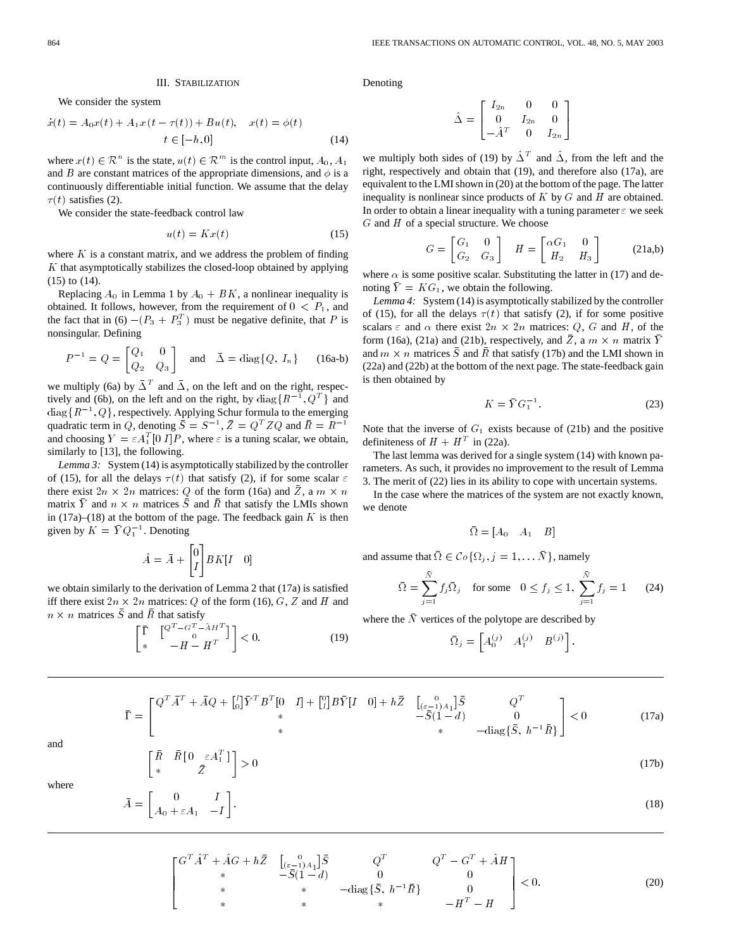#### III. STABILIZATION

We consider the system

III. STABILITY  
We consider the system  

$$
\dot{x}(t) = A_0 x(t) + A_1 x (t - \tau(t)) + B u(t), \quad x(t) = \phi(t)
$$

$$
t \in [-h, 0]
$$
(14)

where  $x(t) \in \mathbb{R}^n$  is the state,  $u(t) \in \mathbb{R}^m$  is the control input,  $A_0, A_1$ and B are constant matrices of the appropriate dimensions, and  $\phi$  is a continuously differentiable initial function. We assume that the delay  $\tau(t)$  satisfies (2).

We consider the state-feedback control law

$$
u(t) = Kx(t) \tag{15}
$$

where  $K$  is a constant matrix, and we address the problem of finding  $K$  that asymptotically stabilizes the closed-loop obtained by applying (15) to (14).

Replacing  $A_0$  in Lemma 1 by  $A_0 + BK$ , a nonlinear inequality is obtained. It follows, however, from the requirement of  $0 < P_1$ , and the fact that in (6)  $-(P_3 + P_3^T)$  must be negative definite, that P is nonsingular. Defining<br>  $P^{-1} = Q = \begin{bmatrix} Q_1 & 0 \\ 0 & Q_2 \end{bmatrix}$ 

$$
P^{-1} = Q = \begin{bmatrix} Q_1 & 0 \\ Q_2 & Q_3 \end{bmatrix} \text{ and } \bar{\Delta} = \text{diag}\{Q, I_n\} \qquad (16a-b)
$$

we multiply (6a) by  $\bar{\Delta}^T$  and  $\bar{\Delta}$ , on the left and on the right, respecthe multiply (6a) by  $\overline{\Delta}^T$  and  $\overline{\Delta}$ , on the left and on the right, respectively and (6b), on the left and on the right, by diag{ $\{R^{-1}, Q^T\}$  and we multiply (6a) by  $\bar{\Delta}^T$  and  $\bar{\Delta}$ , on the left and on the right, respectively and (6b), on the left and on the right, by diag $\{R^{-1}, Q^T\}$  and diag $\{R^{-1}, Q\}$ , respectively. Applying Schur formula to the emerging tively and (6b), on the left and on the right, by diag $\{R^{-1}, Q^T\}$  and diag  $\{R^{-1}, Q\}$ , respectively. Applying Schur formula to the emerging quadratic term in Q, denoting  $\overline{S} = S^{-1}$ ,  $\overline{Z} = Q^T Z Q$  and  $\overline{R} = R^{-1}$ and choosing  $Y = \varepsilon A_1^T [0 I] P$ , where  $\varepsilon$  is a tuning scalar, we obtain, similarly to [13], the following.

*Lemma 3:* System (14) is asymptotically stabilized by the controller of (15), for all the delays  $\tau(t)$  that satisfy (2), if for some scalar  $\varepsilon$ there exist  $2n \times 2n$  matrices: Q of the form (16a) and  $\overline{Z}$ , a  $m \times n$ matrix  $\overline{Y}$  and  $n \times n$  matrices  $\overline{S}$  and  $\overline{R}$  that satisfy the LMIs shown in (17a)–(18) at the bottom of the page. The feedback gain  $K$  is then matrix  $\overline{Y}$  and  $n \times n$  matrices  $\overline{S}$ <br>in (17a)–(18) at the bottom of the given by  $K = \overline{Y} Q_1^{-1}$ . Denoting

$$
\hat{A} = \bar{A} + \begin{bmatrix} 0 \\ I \end{bmatrix} B K [I \quad 0]
$$

we obtain similarly to the derivation of Lemma 2 that (17a) is satisfied iff there exist  $2n \times 2n$  matrices: Q of the form (16), G, Z and H and<br>  $n \times n$  matrices  $\overline{S}$  and  $\overline{R}$  that satisfy<br>  $\begin{bmatrix} \overline{\Gamma} & [Q^T - G^T - \overline{A}H^T] \end{bmatrix} \ge 0$  (10)  $n \times n$  matrices  $\overline{S}$  and  $\overline{R}$  that satisfy

$$
\begin{bmatrix} \bar{\Gamma} & \begin{bmatrix} Q^T - G^T - \hat{A}H^T \\ 0 & 0 \end{bmatrix} \end{bmatrix} < 0.
$$
 (19)

Denoting

$$
\hat{\Delta} = \begin{bmatrix} I_{2n} & 0 & 0 \\ 0 & I_{2n} & 0 \\ -\hat{A}^T & 0 & I_{2n} \end{bmatrix}
$$

we multiply both sides of (19) by  $\hat{\Delta}^T$  and  $\hat{\Delta}$ , from the left and the right, respectively and obtain that (19), and therefore also (17a), are equivalent to the LMI shown in (20) at the bottom of the page. The latter inequality is nonlinear since products of  $K$  by  $G$  and  $H$  are obtained. In order to obtain a linear inequality with a tuning parameter  $\varepsilon$  we seek  $G$  and  $H$  of a special structure. We choose

$$
G = \begin{bmatrix} G_1 & 0 \\ G_2 & G_3 \end{bmatrix} \quad H = \begin{bmatrix} \alpha G_1 & 0 \\ H_2 & H_3 \end{bmatrix} \tag{21a,b}
$$

where  $\alpha$  is some positive scalar. Substituting the latter in (17) and denoting  $\overline{Y} = KG_1$ , we obtain the following.

*Lemma 4:* System (14) is asymptotically stabilized by the controller of (15), for all the delays  $\tau(t)$  that satisfy (2), if for some positive scalars  $\varepsilon$  and  $\alpha$  there exist  $2n \times 2n$  matrices:  $Q$ ,  $G$  and  $H$ , of the form (16a), (21a) and (21b), respectively, and  $\overline{Z}$ , a  $m \times n$  matrix  $\overline{Y}$ and  $m \times n$  matrices  $\overline{S}$  and  $\overline{R}$  that satisfy (17b) and the LMI shown in (22a) and (22b) at the bottom of the next page. The state-feedback gain is then obtained by For the next<br> $K = \bar{Y} G_1^{-1}$ 

$$
K = \overline{Y} G_1^{-1}.
$$

Note that the inverse of  $G_1$  exists because of (21b) and the positive definiteness of  $H + H<sup>T</sup>$  in (22a).

The last lemma was derived for a single system (14) with known parameters. As such, it provides no improvement to the result of Lemma 3. The merit of (22) lies in its ability to cope with uncertain systems.

In the case where the matrices of the system are not exactly known, we denote

$$
\bar{\Omega} = [A_0 \quad A_1 \quad B]
$$

and assume that  $\overline{\Omega} \in \mathcal{C} \circ \{ \Omega_j, j = 1, \dots \overline{N} \}$ , namely

$$
\bar{\Omega} = \sum_{j=1}^{\bar{N}} f_j \bar{\Omega}_j \quad \text{for some} \quad 0 \le f_j \le 1, \ \sum_{j=1}^{\bar{N}} f_j = 1 \tag{24}
$$

where the  $\bar{N}$  vertices of the polytope are described by

$$
\bar{\Omega}_j = \begin{bmatrix} A_0^{(j)} & A_1^{(j)} & B^{(j)} \end{bmatrix}.
$$

$$
= \begin{bmatrix} Q^T \bar{A}^T + \bar{A}Q + \begin{bmatrix} I \\ 0 \end{bmatrix} \bar{Y}^T B^T [0 \quad I] + \begin{bmatrix} 0 \\ I \end{bmatrix} B \bar{Y} [I \quad 0] + h \bar{Z} & \begin{bmatrix} 0 \\ \frac{1}{2} & 0 \\ -\bar{S} (1 - d) & 0 \\ * & -\text{diag} \{\bar{S}, h^{-1} \bar{R} \} \end{bmatrix} < 0 \tag{17a}
$$

and

 $\bar{\Gamma}$ 

$$
\begin{aligned}\n\bar{R} & \bar{R} \left[ \begin{array}{c} 0 & \varepsilon A_1^T \\ \bar{Z} \end{array} \right] > 0\n\end{aligned}\n\tag{17b}
$$

where

$$
\bar{A} = \begin{bmatrix} 0 & I \\ A_0 + \varepsilon A_1 & -I \end{bmatrix} . \tag{18}
$$

$$
\begin{bmatrix}\nG^T \hat{A}^T + \hat{A}G + h\bar{Z} & \begin{bmatrix} 0 & 0 \\ 0 & -1 \end{bmatrix} A_1 \end{bmatrix} \bar{S} & Q^T & Q^T - G^T + \hat{A}H \\
\ast & -\bar{S}(1-d) & 0 & 0 \\
\ast & \ast & -\text{diag}\{\bar{S}, h^{-1}\bar{R}\} & 0 \\
\ast & \ast & \ast & -H^T - H\n\end{bmatrix} < 0. \tag{20}
$$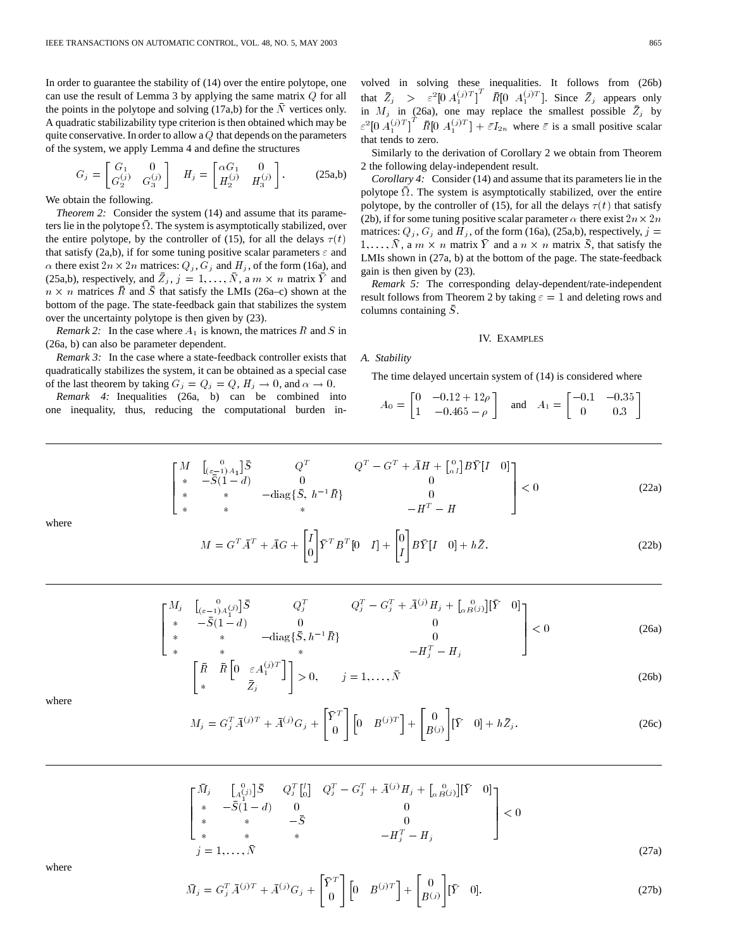In order to guarantee the stability of (14) over the entire polytope, one can use the result of Lemma 3 by applying the same matrix Q for all the points in the polytope and solving  $(17a,b)$  for the N vertices only. A quadratic stabilizability type criterion is then obtained which may be quite conservative. In order to allow a  $Q$  that depends on the parameters of the system, we apply Lemma 4 and define the structures

$$
G_j = \begin{bmatrix} G_1 & 0 \\ G_2^{(j)} & G_3^{(j)} \end{bmatrix} \quad H_j = \begin{bmatrix} \alpha G_1 & 0 \\ H_2^{(j)} & H_3^{(j)} \end{bmatrix} . \tag{25a,b}
$$

We obtain the following.

*Theorem 2:* Consider the system (14) and assume that its parameters lie in the polytope  $\bar{\Omega}$ . The system is asymptotically stabilized, over the entire polytope, by the controller of (15), for all the delays  $\tau(t)$ that satisfy (2a,b), if for some tuning positive scalar parameters  $\varepsilon$  and  $\alpha$  there exist  $2n \times 2n$  matrices:  $Q_j$ ,  $G_j$  and  $H_j$ , of the form (16a), and (25a,b), respectively, and  $\overline{Z}_j$ ,  $j = 1, ..., \overline{N}$ , a  $m \times n$  matrix  $\overline{Y}$  and  $n \times n$  matrices  $\overline{R}$  and  $\overline{S}$  that satisfy the LMIs (26a–c) shown at the bottom of the page. The state-feedback gain that stabilizes the system over the uncertainty polytope is then given by (23).

*Remark 2:* In the case where  $A_1$  is known, the matrices R and S in (26a, b) can also be parameter dependent.

*Remark 3:* In the case where a state-feedback controller exists that quadratically stabilizes the system, it can be obtained as a special case of the last theorem by taking  $G_j = Q_j = Q$ ,  $H_j \to 0$ , and  $\alpha \to 0$ .

*Remark 4:* Inequalities (26a, b) can be combined into one inequality, thus, reducing the computational burden in-

volved in solving these inequalities. It follows from (26b) that  $\bar{Z}_j$  >  $\varepsilon^2[0 \ A_1^{(j)T}]^T \ \bar{R}[\overline{0} \ A_1^{(j)T}]$ . Since  $\bar{Z}_j$  appears only in  $M_j$  in (26a), one may replace the smallest possible  $\overline{Z}_j$  by  $\epsilon^2$ [0  $A_1^{(j)T}$ ]<sup>T</sup>  $\bar{R}$ [0  $A_1^{(j)T}$ ] +  $\bar{\epsilon}I_{2n}$  where  $\bar{\epsilon}$  is a small positive scalar that tends to zero.

Similarly to the derivation of Corollary 2 we obtain from Theorem 2 the following delay-independent result.

*Corollary 4:* Consider (14) and assume that its parameters lie in the polytope  $\overline{\Omega}$ . The system is asymptotically stabilized, over the entire polytope, by the controller of (15), for all the delays  $\tau(t)$  that satisfy (2b), if for some tuning positive scalar parameter  $\alpha$  there exist  $2n \times 2n$ matrices:  $Q_i$ ,  $G_i$  and  $H_i$ , of the form (16a), (25a,b), respectively,  $j =$  $1, \ldots, \bar{N}$ , a  $m \times n$  matrix  $\bar{Y}$  and a  $n \times n$  matrix  $\bar{S}$ , that satisfy the LMIs shown in (27a, b) at the bottom of the page. The state-feedback gain is then given by (23).

*Remark 5:* The corresponding delay-dependent/rate-independent result follows from Theorem 2 by taking  $\varepsilon = 1$  and deleting rows and columns containing  $\bar{S}$ .

## IV. EXAMPLES

#### *A. Stability*

The time delayed uncertain system of (14) is considered where

$$
A_0 = \begin{bmatrix} 0 & -0.12 + 12\rho \\ 1 & -0.465 - \rho \end{bmatrix} \text{ and } A_1 = \begin{bmatrix} -0.1 & -0.35 \\ 0 & 0.3 \end{bmatrix}
$$

$$
\begin{bmatrix}\nM & \begin{bmatrix} 0 & 0 \\
(c-1)A_1\n\end{bmatrix} \bar{S} & Q^T & Q^T - G^T + \bar{A}H + \begin{bmatrix} 0 \\
\alpha I\n\end{bmatrix} B\bar{Y} [I \quad 0] \\
\ast & \ast & \ast & -\text{diag}\{\bar{S}, h^{-1}\bar{R}\} & 0 \\
\ast & \ast & \ast & \ast & -H^T - H\n\end{bmatrix} < 0 \tag{22a}
$$

where

$$
M = GT \overline{A}T + \overline{A}G + \begin{bmatrix} I \\ 0 \end{bmatrix} \overline{Y}T BT [0 I] + \begin{bmatrix} 0 \\ I \end{bmatrix} B \overline{Y} [I \ 0] + h\overline{Z}.
$$
 (22b)

$$
\begin{bmatrix} M_j & \begin{bmatrix} 0 & 0 \\ (\varepsilon - 1)A_1^{(j)} \end{bmatrix} \bar{S} & Q_j^T & Q_j^T - G_j^T + \bar{A}^{(j)} H_j + \begin{bmatrix} 0 \\ \alpha B^{(j)} \end{bmatrix} [\bar{Y} \quad 0] \\ * & * & -\text{diag}\{\bar{S}, h^{-1} \bar{R}\} & 0 \\ * & * & * & -H_j^T - H_j \end{bmatrix} < 0 \tag{26a}
$$

$$
\begin{bmatrix} \bar{R} & \bar{R} \begin{bmatrix} 0 & \varepsilon A_1^{(j)T} \end{bmatrix} \\ * & \bar{Z}_j \end{bmatrix} > 0, \qquad j = 1, \dots, \bar{N} \end{bmatrix} \tag{26b}
$$

where

$$
M_j = G_j^T \bar{A}^{(j)T} + \bar{A}^{(j)} G_j + \begin{bmatrix} \bar{Y}^T \\ 0 \end{bmatrix} \begin{bmatrix} 0 & B^{(j)T} \end{bmatrix} + \begin{bmatrix} 0 \\ B^{(j)} \end{bmatrix} \begin{bmatrix} \bar{Y} & 0 \end{bmatrix} + h \bar{Z}_j.
$$
 (26c)

$$
\begin{bmatrix}\n\bar{M}_j & \begin{bmatrix} 0 \\ A_1^{(j)} \end{bmatrix} \bar{S} & Q_j^T \begin{bmatrix} I \\ 0 \end{bmatrix} & Q_j^T - G_j^T + \bar{A}^{(j)} H_j + \begin{bmatrix} 0 \\ \alpha B^{(j)} \end{bmatrix} \begin{bmatrix} \bar{Y} & 0 \end{bmatrix} \\
* & -\bar{S}(1-d) & 0 & 0 \\
* & * & -\bar{S} & 0 \\
* & * & * & -H_j^T - H_j\n\end{bmatrix} < 0
$$
\n
$$
= H_j^T - H_j
$$
\n(27a)

$$
\quad \text{where} \quad
$$

$$
\bar{M}_j = G_j^T \bar{A}^{(j)T} + \bar{A}^{(j)} G_j + \begin{bmatrix} \bar{Y}^T \\ 0 \end{bmatrix} \begin{bmatrix} 0 & B^{(j)T} \end{bmatrix} + \begin{bmatrix} 0 \\ B^{(j)} \end{bmatrix} \begin{bmatrix} \bar{Y} & 0 \end{bmatrix}.
$$
\n(27b)